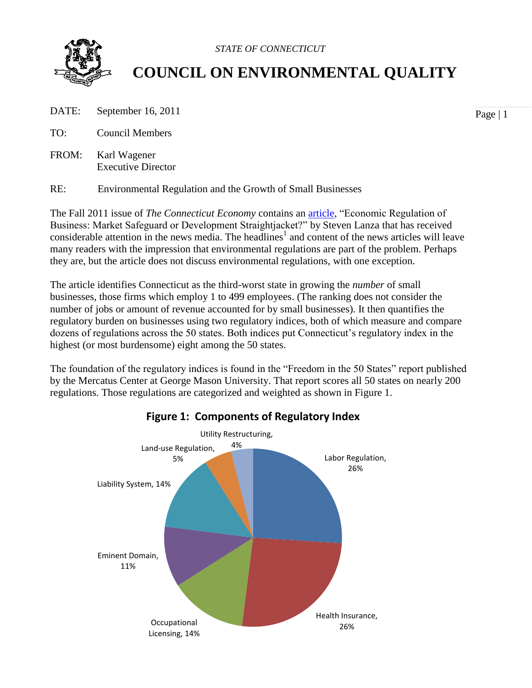

 *STATE OF CONNECTICUT*

# **COUNCIL ON ENVIRONMENTAL QUALITY**

- DATE: September 16, 2011
- TO: Council Members
- FROM: Karl Wagener Executive Director

RE: Environmental Regulation and the Growth of Small Businesses

The Fall 2011 issue of *The Connecticut Economy* contains an [article,](http://cteconomy.uconn.edu/articles/SL_F2011.pdf) "Economic Regulation of Business: Market Safeguard or Development Straightjacket?" by Steven Lanza that has received considerable attention in the news media. The headlines<sup>1</sup> and content of the news articles will leave many readers with the impression that environmental regulations are part of the problem. Perhaps they are, but the article does not discuss environmental regulations, with one exception.

The article identifies Connecticut as the third-worst state in growing the *number* of small businesses, those firms which employ 1 to 499 employees. (The ranking does not consider the number of jobs or amount of revenue accounted for by small businesses). It then quantifies the regulatory burden on businesses using two regulatory indices, both of which measure and compare dozens of regulations across the 50 states. Both indices put Connecticut's regulatory index in the highest (or most burdensome) eight among the 50 states.

The foundation of the regulatory indices is found in the "Freedom in the 50 States" report published by the Mercatus Center at George Mason University. That report scores all 50 states on nearly 200 regulations. Those regulations are categorized and weighted as shown in Figure 1.



# **Figure 1: Components of Regulatory Index**

Page | 1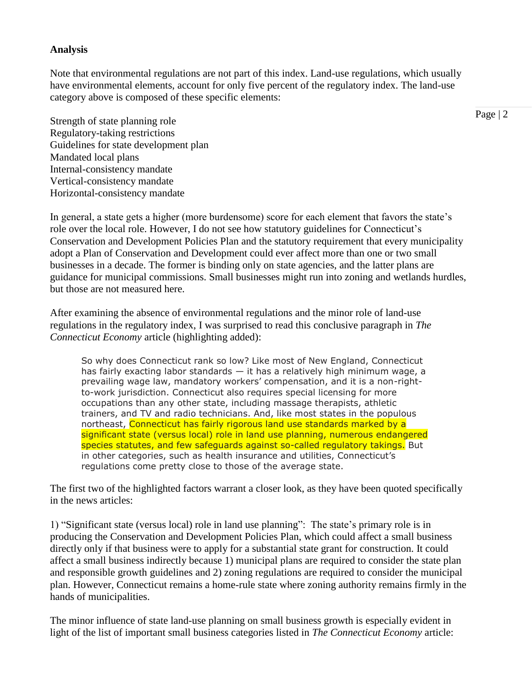#### **Analysis**

Note that environmental regulations are not part of this index. Land-use regulations, which usually have environmental elements, account for only five percent of the regulatory index. The land-use category above is composed of these specific elements:

Strength of state planning role Regulatory-taking restrictions Guidelines for state development plan Mandated local plans Internal-consistency mandate Vertical-consistency mandate Horizontal-consistency mandate

In general, a state gets a higher (more burdensome) score for each element that favors the state's role over the local role. However, I do not see how statutory guidelines for Connecticut's Conservation and Development Policies Plan and the statutory requirement that every municipality adopt a Plan of Conservation and Development could ever affect more than one or two small businesses in a decade. The former is binding only on state agencies, and the latter plans are guidance for municipal commissions. Small businesses might run into zoning and wetlands hurdles, but those are not measured here.

After examining the absence of environmental regulations and the minor role of land-use regulations in the regulatory index, I was surprised to read this conclusive paragraph in *The Connecticut Economy* article (highlighting added):

So why does Connecticut rank so low? Like most of New England, Connecticut has fairly exacting labor standards — it has a relatively high minimum wage, a prevailing wage law, mandatory workers' compensation, and it is a non-rightto-work jurisdiction. Connecticut also requires special licensing for more occupations than any other state, including massage therapists, athletic trainers, and TV and radio technicians. And, like most states in the populous northeast, Connecticut has fairly rigorous land use standards marked by a significant state (versus local) role in land use planning, numerous endangered species statutes, and few safeguards against so-called regulatory takings. But in other categories, such as health insurance and utilities, Connecticut's regulations come pretty close to those of the average state.

The first two of the highlighted factors warrant a closer look, as they have been quoted specifically in the news articles:

1) "Significant state (versus local) role in land use planning": The state's primary role is in producing the Conservation and Development Policies Plan, which could affect a small business directly only if that business were to apply for a substantial state grant for construction. It could affect a small business indirectly because 1) municipal plans are required to consider the state plan and responsible growth guidelines and 2) zoning regulations are required to consider the municipal plan. However, Connecticut remains a home-rule state where zoning authority remains firmly in the hands of municipalities.

The minor influence of state land-use planning on small business growth is especially evident in light of the list of important small business categories listed in *The Connecticut Economy* article: Page | 2